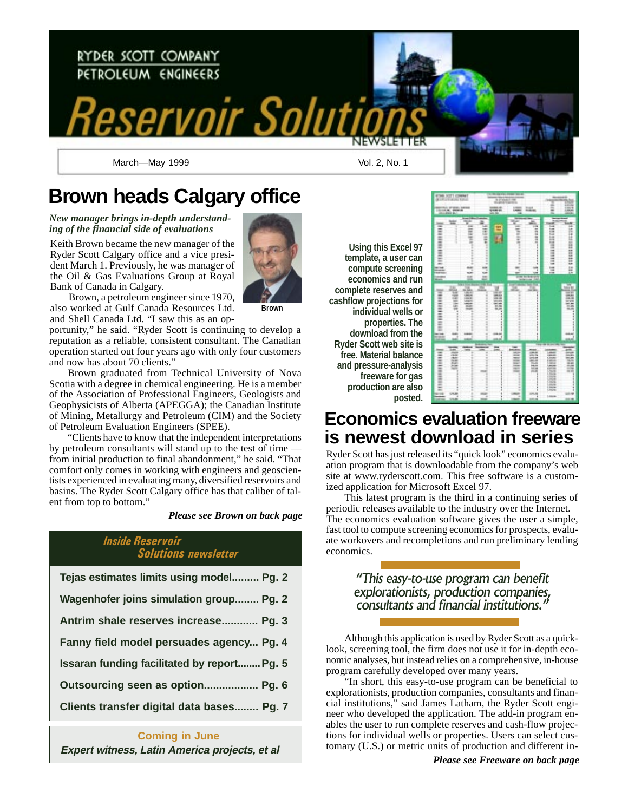

# **Brown heads Calgary office**

*New manager brings in-depth understanding of the financial side of evaluations*

Keith Brown became the new manager of the Ryder Scott Calgary office and a vice president March 1. Previously, he was manager of the Oil & Gas Evaluations Group at Royal Bank of Canada in Calgary.



Brown, a petroleum engineer since 1970, also worked at Gulf Canada Resources Ltd. and Shell Canada Ltd. "I saw this as an op-

portunity," he said. "Ryder Scott is continuing to develop a reputation as a reliable, consistent consultant. The Canadian operation started out four years ago with only four customers and now has about 70 clients."

Brown graduated from Technical University of Nova Scotia with a degree in chemical engineering. He is a member of the Association of Professional Engineers, Geologists and Geophysicists of Alberta (APEGGA); the Canadian Institute of Mining, Metallurgy and Petroleum (CIM) and the Society of Petroleum Evaluation Engineers (SPEE).

"Clients have to know that the independent interpretations by petroleum consultants will stand up to the test of time from initial production to final abandonment," he said. "That comfort only comes in working with engineers and geoscientists experienced in evaluating many, diversified reservoirs and basins. The Ryder Scott Calgary office has that caliber of talent from top to bottom."

*Please see Brown on back page*

### Inside Reservoir Solutions newsletter

| Tejas estimates limits using model Pg. 2           |
|----------------------------------------------------|
| Wagenhofer joins simulation group Pg. 2            |
| Antrim shale reserves increase Pg. 3               |
| Fanny field model persuades agency Pg. 4           |
| <b>Issaran funding facilitated by report Pg. 5</b> |
| Outsourcing seen as option Pg. 6                   |
| Clients transfer digital data bases Pg. 7          |
|                                                    |

### **Coming in June**

**Using this Excel 97 template, a user can compute screening economics and run complete reserves and cashflow projections for individual wells or properties. The download from the Ryder Scott web site is free. Material balance and pressure-analysis freeware for gas production are also posted.**



## **Economics evaluation freeware is newest download in series**

Ryder Scott has just released its "quick look" economics evaluation program that is downloadable from the company's web site at www.ryderscott.com. This free software is a customized application for Microsoft Excel 97.

This latest program is the third in a continuing series of periodic releases available to the industry over the Internet. The economics evaluation software gives the user a simple, fast tool to compute screening economics for prospects, evaluate workovers and recompletions and run preliminary lending economics.

### This easy-to-use program can benefit explorationists, production companies, consultants and financial institutions.

Although this application is used by Ryder Scott as a quicklook, screening tool, the firm does not use it for in-depth economic analyses, but instead relies on a comprehensive, in-house program carefully developed over many years.

"In short, this easy-to-use program can be beneficial to explorationists, production companies, consultants and financial institutions," said James Latham, the Ryder Scott engineer who developed the application. The add-in program enables the user to run complete reserves and cash-flow projections for individual wells or properties. Users can select cus-**Expert witness, Latin America projects, et al** tomary (U.S.) or metric units of production and different in-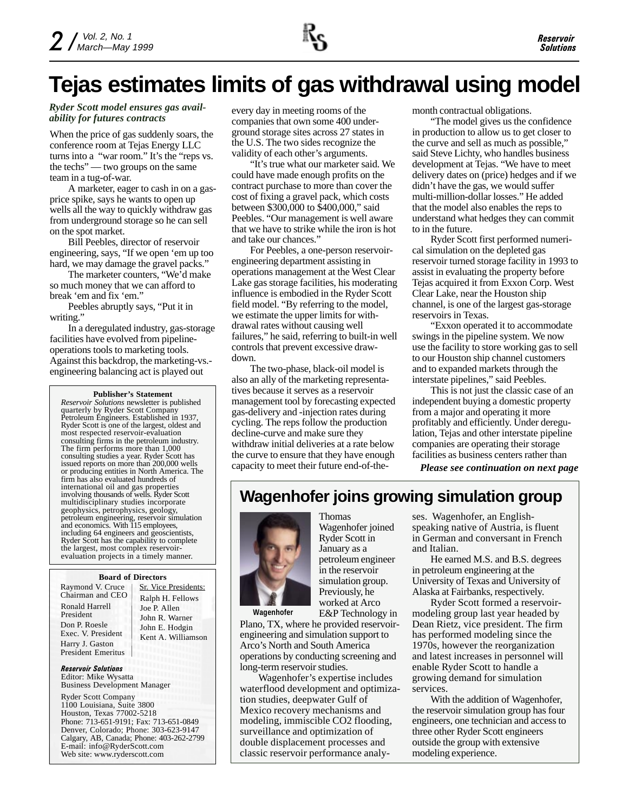# **Tejas estimates limits of gas withdrawal using model**

#### *Ryder Scott model ensures gas availability for futures contracts* every day in meeting rooms of the ability for futures contracts

When the price of gas suddenly soars, the conference room at Tejas Energy LLC turns into a "war room." It's the "reps vs. the techs" — two groups on the same team in a tug-of-war.

A marketer, eager to cash in on a gasprice spike, says he wants to open up wells all the way to quickly withdraw gas from underground storage so he can sell on the spot market.

Bill Peebles, director of reservoir engineering, says, "If we open 'em up too hard, we may damage the gravel packs."

The marketer counters, "We'd make so much money that we can afford to break 'em and fix 'em."

Peebles abruptly says, "Put it in writing."

In a deregulated industry, gas-storage facilities have evolved from pipelineoperations tools to marketing tools. Against this backdrop, the marketing-vs. engineering balancing act is played out

#### **Publisher's Statement**

*Reservoir Solutions* newsletter is published quarterly by Ryder Scott Company Petroleum Engineers. Established in 1937, Ryder Scott is one of the largest, oldest and most respected reservoir-evaluation consulting firms in the petroleum industry. The firm performs more than 1,000 consulting studies a year. Ryder Scott has issued reports on more than 200,000 wells or producing entities in North America. The firm has also evaluated hundreds of international oil and gas properties involving thousands of wells. Ryder Scott multidisciplinary studies incorporate geophysics, petrophysics, geology, petroleum engineering, reservoir simulation and economics. With 115 employees, including 64 engineers and geoscientists, Ryder Scott has the capability to complete the largest, most complex reservoirevaluation projects in a timely manner.

#### **Board of Directors**

Raymond V. Cruce Chairman and CEO Ronald Harrell President Don P. Roesle Exec. V. President Harry J. Gaston President Emeritus

Sr. Vice Presidents: Ralph H. Fellows Joe P. Allen John R. Warner John E. Hodgin Kent A. Williamson

Reservoir Solutions Editor: Mike Wysatta Business Development Manager

Ryder Scott Company 1100 Louisiana, Suite 3800 Houston, Texas 77002-5218 Phone: 713-651-9191; Fax: 713-651-0849 Denver, Colorado; Phone: 303-623-9147 Calgary, AB, Canada; Phone: 403-262-2799 E-mail: info@RyderScott.com Web site: www.ryderscott.com

companies that own some 400 underground storage sites across 27 states in the U.S. The two sides recognize the validity of each other's arguments.

"It's true what our marketer said. We could have made enough profits on the contract purchase to more than cover the cost of fixing a gravel pack, which costs between \$300,000 to \$400,000," said Peebles. "Our management is well aware that we have to strike while the iron is hot and take our chances."

For Peebles, a one-person reservoirengineering department assisting in operations management at the West Clear Lake gas storage facilities, his moderating influence is embodied in the Ryder Scott field model. "By referring to the model, we estimate the upper limits for withdrawal rates without causing well failures," he said, referring to built-in well controls that prevent excessive drawdown.

The two-phase, black-oil model is also an ally of the marketing representatives because it serves as a reservoir management tool by forecasting expected gas-delivery and -injection rates during cycling. The reps follow the production decline-curve and make sure they withdraw initial deliveries at a rate below the curve to ensure that they have enough capacity to meet their future end-of-themonth contractual obligations.

"The model gives us the confidence in production to allow us to get closer to the curve and sell as much as possible," said Steve Lichty, who handles business development at Tejas. "We have to meet delivery dates on (price) hedges and if we didn't have the gas, we would suffer multi-million-dollar losses." He added that the model also enables the reps to understand what hedges they can commit to in the future.

Ryder Scott first performed numerical simulation on the depleted gas reservoir turned storage facility in 1993 to assist in evaluating the property before Tejas acquired it from Exxon Corp. West Clear Lake, near the Houston ship channel, is one of the largest gas-storage reservoirs in Texas.

"Exxon operated it to accommodate swings in the pipeline system. We now use the facility to store working gas to sell to our Houston ship channel customers and to expanded markets through the interstate pipelines," said Peebles.

This is not just the classic case of an independent buying a domestic property from a major and operating it more profitably and efficiently. Under deregulation, Tejas and other interstate pipeline companies are operating their storage facilities as business centers rather than

*Please see continuation on next page*

### **Wagenhofer joins growing simulation group**



Wagenhofer joined Ryder Scott in January as a petroleum engineer in the reservoir simulation group. Previously, he worked at Arco E&P Technology in

Thomas

**Wagenhofer**

Plano, TX, where he provided reservoirengineering and simulation support to Arco's North and South America operations by conducting screening and long-term reservoir studies.

Wagenhofer's expertise includes waterflood development and optimization studies, deepwater Gulf of Mexico recovery mechanisms and modeling, immiscible CO2 flooding, surveillance and optimization of double displacement processes and classic reservoir performance analyses. Wagenhofer, an Englishspeaking native of Austria, is fluent in German and conversant in French and Italian.

He earned M.S. and B.S. degrees in petroleum engineering at the University of Texas and University of Alaska at Fairbanks, respectively.

Ryder Scott formed a reservoirmodeling group last year headed by Dean Rietz, vice president. The firm has performed modeling since the 1970s, however the reorganization and latest increases in personnel will enable Ryder Scott to handle a growing demand for simulation services.

With the addition of Wagenhofer, the reservoir simulation group has four engineers, one technician and access to three other Ryder Scott engineers outside the group with extensive modeling experience.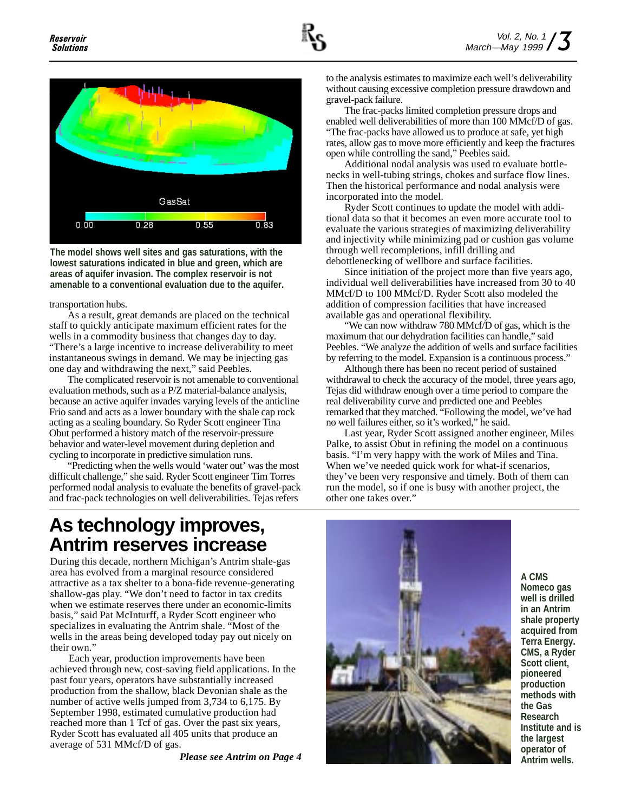

**The model shows well sites and gas saturations, with the lowest saturations indicated in blue and green, which are areas of aquifer invasion. The complex reservoir is not amenable to a conventional evaluation due to the aquifer.**

transportation hubs.

As a result, great demands are placed on the technical staff to quickly anticipate maximum efficient rates for the wells in a commodity business that changes day to day. "There's a large incentive to increase deliverability to meet instantaneous swings in demand. We may be injecting gas one day and withdrawing the next," said Peebles.

The complicated reservoir is not amenable to conventional evaluation methods, such as a P/Z material-balance analysis, because an active aquifer invades varying levels of the anticline Frio sand and acts as a lower boundary with the shale cap rock acting as a sealing boundary. So Ryder Scott engineer Tina Obut performed a history match of the reservoir-pressure behavior and water-level movement during depletion and cycling to incorporate in predictive simulation runs.

"Predicting when the wells would 'water out' was the most difficult challenge," she said. Ryder Scott engineer Tim Torres performed nodal analysis to evaluate the benefits of gravel-pack and frac-pack technologies on well deliverabilities. Tejas refers

to the analysis estimates to maximize each well's deliverability without causing excessive completion pressure drawdown and gravel-pack failure.

The frac-packs limited completion pressure drops and enabled well deliverabilities of more than 100 MMcf/D of gas. "The frac-packs have allowed us to produce at safe, yet high rates, allow gas to move more efficiently and keep the fractures open while controlling the sand," Peebles said.

Additional nodal analysis was used to evaluate bottlenecks in well-tubing strings, chokes and surface flow lines. Then the historical performance and nodal analysis were incorporated into the model.

Ryder Scott continues to update the model with additional data so that it becomes an even more accurate tool to evaluate the various strategies of maximizing deliverability and injectivity while minimizing pad or cushion gas volume through well recompletions, infill drilling and debottlenecking of wellbore and surface facilities.

Since initiation of the project more than five years ago, individual well deliverabilities have increased from 30 to 40 MMcf/D to 100 MMcf/D. Ryder Scott also modeled the addition of compression facilities that have increased available gas and operational flexibility.

"We can now withdraw 780 MMcf/D of gas, which is the maximum that our dehydration facilities can handle," said Peebles. "We analyze the addition of wells and surface facilities by referring to the model. Expansion is a continuous process."

Although there has been no recent period of sustained withdrawal to check the accuracy of the model, three years ago, Tejas did withdraw enough over a time period to compare the real deliverability curve and predicted one and Peebles remarked that they matched. "Following the model, we've had no well failures either, so it's worked," he said.

Last year, Ryder Scott assigned another engineer, Miles Palke, to assist Obut in refining the model on a continuous basis. "I'm very happy with the work of Miles and Tina. When we've needed quick work for what-if scenarios, they've been very responsive and timely. Both of them can run the model, so if one is busy with another project, the other one takes over."

# **As technology improves, Antrim reserves increase**

During this decade, northern Michigan's Antrim shale-gas area has evolved from a marginal resource considered attractive as a tax shelter to a bona-fide revenue-generating shallow-gas play. "We don't need to factor in tax credits when we estimate reserves there under an economic-limits basis," said Pat McInturff, a Ryder Scott engineer who specializes in evaluating the Antrim shale. "Most of the wells in the areas being developed today pay out nicely on their own."

Each year, production improvements have been achieved through new, cost-saving field applications. In the past four years, operators have substantially increased production from the shallow, black Devonian shale as the number of active wells jumped from 3,734 to 6,175. By September 1998, estimated cumulative production had reached more than 1 Tcf of gas. Over the past six years, Ryder Scott has evaluated all 405 units that produce an average of 531 MMcf/D of gas.



**A CMS Nomeco gas well is drilled in an Antrim shale property acquired from Terra Energy. CMS, a Ryder Scott client, pioneered production methods with the Gas Research Institute and is the largest**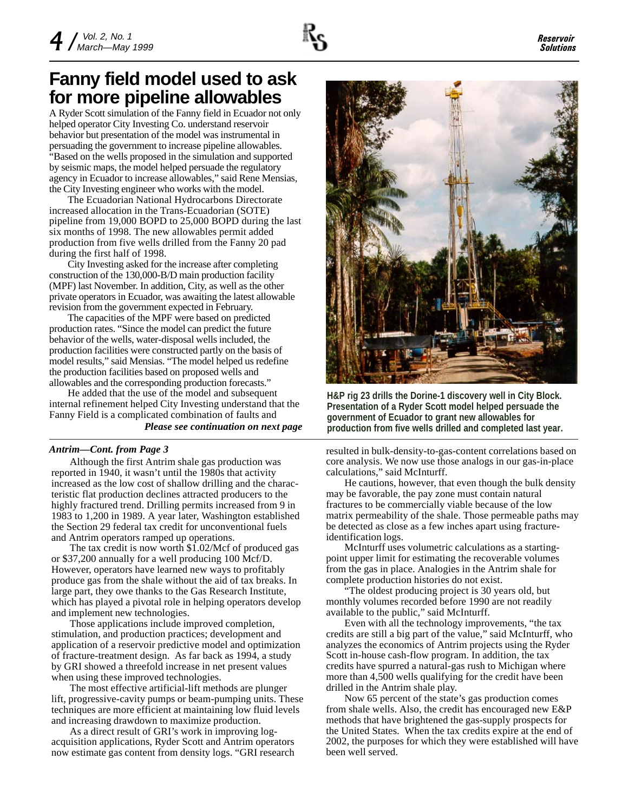

## **Fanny field model used to ask for more pipeline allowables**

A Ryder Scott simulation of the Fanny field in Ecuador not only helped operator City Investing Co. understand reservoir behavior but presentation of the model was instrumental in persuading the government to increase pipeline allowables. "Based on the wells proposed in the simulation and supported by seismic maps, the model helped persuade the regulatory agency in Ecuador to increase allowables," said Rene Mensias, the City Investing engineer who works with the model.

The Ecuadorian National Hydrocarbons Directorate increased allocation in the Trans-Ecuadorian (SOTE) pipeline from 19,000 BOPD to 25,000 BOPD during the last six months of 1998. The new allowables permit added production from five wells drilled from the Fanny 20 pad during the first half of 1998.

City Investing asked for the increase after completing construction of the 130,000-B/D main production facility (MPF) last November. In addition, City, as well as the other private operators in Ecuador, was awaiting the latest allowable revision from the government expected in February.

The capacities of the MPF were based on predicted production rates. "Since the model can predict the future behavior of the wells, water-disposal wells included, the production facilities were constructed partly on the basis of model results," said Mensias. "The model helped us redefine the production facilities based on proposed wells and allowables and the corresponding production forecasts."

He added that the use of the model and subsequent internal refinement helped City Investing understand that the Fanny Field is a complicated combination of faults and

#### *Antrim—Cont. from Page 3*

Although the first Antrim shale gas production was reported in 1940, it wasn't until the 1980s that activity increased as the low cost of shallow drilling and the characteristic flat production declines attracted producers to the highly fractured trend. Drilling permits increased from 9 in 1983 to 1,200 in 1989. A year later, Washington established the Section 29 federal tax credit for unconventional fuels and Antrim operators ramped up operations.

The tax credit is now worth \$1.02/Mcf of produced gas or \$37,200 annually for a well producing 100 Mcf/D. However, operators have learned new ways to profitably produce gas from the shale without the aid of tax breaks. In large part, they owe thanks to the Gas Research Institute, which has played a pivotal role in helping operators develop and implement new technologies.

Those applications include improved completion, stimulation, and production practices; development and application of a reservoir predictive model and optimization of fracture-treatment design. As far back as 1994, a study by GRI showed a threefold increase in net present values when using these improved technologies.

The most effective artificial-lift methods are plunger lift, progressive-cavity pumps or beam-pumping units. These techniques are more efficient at maintaining low fluid levels and increasing drawdown to maximize production.

As a direct result of GRI's work in improving logacquisition applications, Ryder Scott and Antrim operators now estimate gas content from density logs. "GRI research



**H&P rig 23 drills the Dorine-1 discovery well in City Block. Presentation of a Ryder Scott model helped persuade the government of Ecuador to grant new allowables for** *Please see continuation on next page* **production from five wells drilled and completed last year.**

resulted in bulk-density-to-gas-content correlations based on core analysis. We now use those analogs in our gas-in-place calculations," said McInturff.

He cautions, however, that even though the bulk density may be favorable, the pay zone must contain natural fractures to be commercially viable because of the low matrix permeability of the shale. Those permeable paths may be detected as close as a few inches apart using fractureidentification logs.

McInturff uses volumetric calculations as a startingpoint upper limit for estimating the recoverable volumes from the gas in place. Analogies in the Antrim shale for complete production histories do not exist.

"The oldest producing project is 30 years old, but monthly volumes recorded before 1990 are not readily available to the public," said McInturff.

Even with all the technology improvements, "the tax credits are still a big part of the value," said McInturff, who analyzes the economics of Antrim projects using the Ryder Scott in-house cash-flow program. In addition, the tax credits have spurred a natural-gas rush to Michigan where more than 4,500 wells qualifying for the credit have been drilled in the Antrim shale play.

Now 65 percent of the state's gas production comes from shale wells. Also, the credit has encouraged new E&P methods that have brightened the gas-supply prospects for the United States. When the tax credits expire at the end of 2002, the purposes for which they were established will have been well served.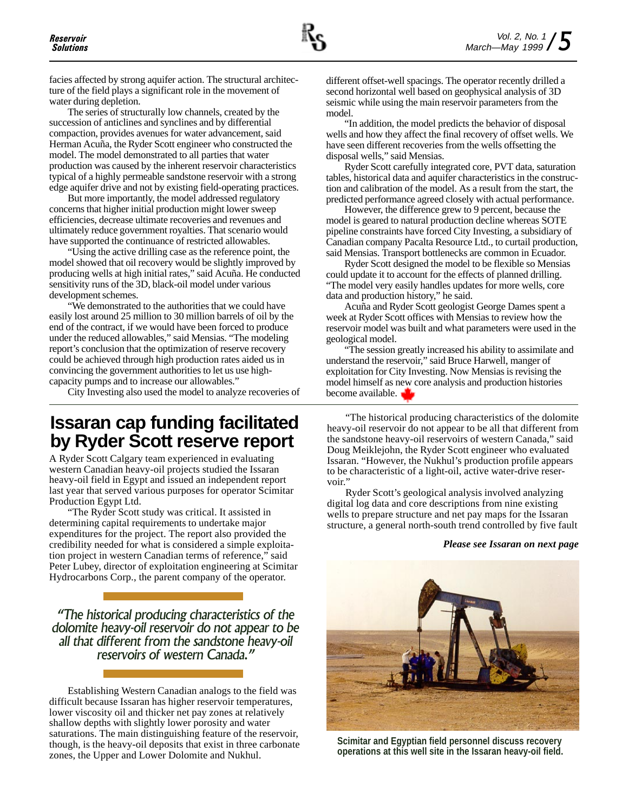facies affected by strong aquifer action. The structural architecture of the field plays a significant role in the movement of water during depletion.

The series of structurally low channels, created by the succession of anticlines and synclines and by differential compaction, provides avenues for water advancement, said Herman Acuña, the Ryder Scott engineer who constructed the model. The model demonstrated to all parties that water production was caused by the inherent reservoir characteristics typical of a highly permeable sandstone reservoir with a strong edge aquifer drive and not by existing field-operating practices.

But more importantly, the model addressed regulatory concerns that higher initial production might lower sweep efficiencies, decrease ultimate recoveries and revenues and ultimately reduce government royalties. That scenario would have supported the continuance of restricted allowables.

"Using the active drilling case as the reference point, the model showed that oil recovery would be slightly improved by producing wells at high initial rates," said Acuña. He conducted sensitivity runs of the 3D, black-oil model under various development schemes.

"We demonstrated to the authorities that we could have easily lost around 25 million to 30 million barrels of oil by the end of the contract, if we would have been forced to produce under the reduced allowables," said Mensias. "The modeling report's conclusion that the optimization of reserve recovery could be achieved through high production rates aided us in convincing the government authorities to let us use highcapacity pumps and to increase our allowables."

City Investing also used the model to analyze recoveries of

## **Issaran cap funding facilitated by Ryder Scott reserve report**

A Ryder Scott Calgary team experienced in evaluating western Canadian heavy-oil projects studied the Issaran heavy-oil field in Egypt and issued an independent report last year that served various purposes for operator Scimitar Production Egypt Ltd.

"The Ryder Scott study was critical. It assisted in determining capital requirements to undertake major expenditures for the project. The report also provided the credibility needed for what is considered a simple exploitation project in western Canadian terms of reference," said Peter Lubey, director of exploitation engineering at Scimitar Hydrocarbons Corp., the parent company of the operator.

The historical producing characteristics of the dolomite heavy-oil reservoir do not appear to be all that different from the sandstone heavy-oil reservoirs of western Canada.

Establishing Western Canadian analogs to the field was difficult because Issaran has higher reservoir temperatures, lower viscosity oil and thicker net pay zones at relatively shallow depths with slightly lower porosity and water saturations. The main distinguishing feature of the reservoir, though, is the heavy-oil deposits that exist in three carbonate zones, the Upper and Lower Dolomite and Nukhul.

different offset-well spacings. The operator recently drilled a second horizontal well based on geophysical analysis of 3D seismic while using the main reservoir parameters from the model.

"In addition, the model predicts the behavior of disposal wells and how they affect the final recovery of offset wells. We have seen different recoveries from the wells offsetting the disposal wells," said Mensias.

Ryder Scott carefully integrated core, PVT data, saturation tables, historical data and aquifer characteristics in the construction and calibration of the model. As a result from the start, the predicted performance agreed closely with actual performance.

However, the difference grew to 9 percent, because the model is geared to natural production decline whereas SOTE pipeline constraints have forced City Investing, a subsidiary of Canadian company Pacalta Resource Ltd., to curtail production, said Mensias. Transport bottlenecks are common in Ecuador.

Ryder Scott designed the model to be flexible so Mensias could update it to account for the effects of planned drilling. "The model very easily handles updates for more wells, core data and production history," he said.

Acuña and Ryder Scott geologist George Dames spent a week at Ryder Scott offices with Mensias to review how the reservoir model was built and what parameters were used in the geological model.

"The session greatly increased his ability to assimilate and understand the reservoir," said Bruce Harwell, manger of exploitation for City Investing. Now Mensias is revising the model himself as new core analysis and production histories become available.

"The historical producing characteristics of the dolomite heavy-oil reservoir do not appear to be all that different from the sandstone heavy-oil reservoirs of western Canada," said Doug Meiklejohn, the Ryder Scott engineer who evaluated Issaran. "However, the Nukhul's production profile appears to be characteristic of a light-oil, active water-drive reservoir.'

Ryder Scott's geological analysis involved analyzing digital log data and core descriptions from nine existing wells to prepare structure and net pay maps for the Issaran structure, a general north-south trend controlled by five fault

#### *Please see Issaran on next page*



**Scimitar and Egyptian field personnel discuss recovery operations at this well site in the Issaran heavy-oil field.**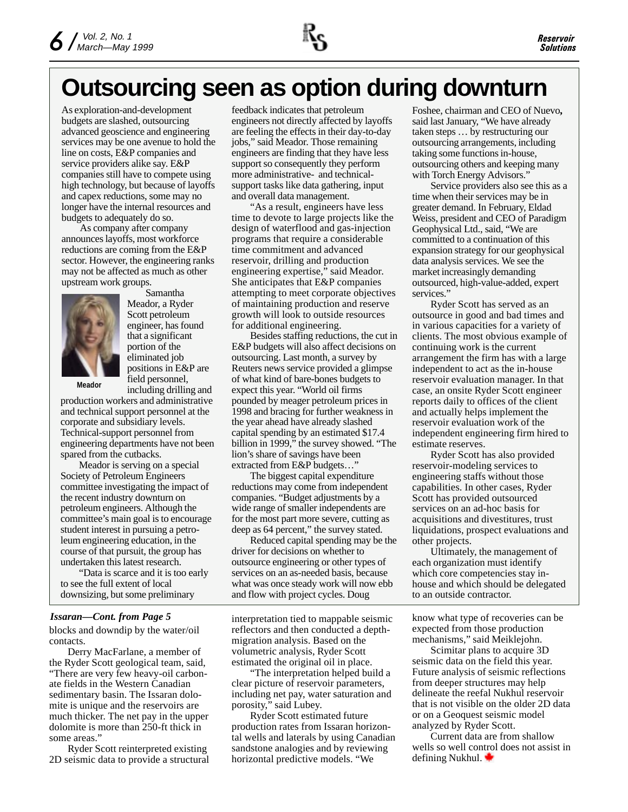# **Outsourcing seen as option during downturn**

As exploration-and-development budgets are slashed, outsourcing advanced geoscience and engineering services may be one avenue to hold the line on costs, E&P companies and service providers alike say. E&P companies still have to compete using high technology, but because of layoffs and capex reductions, some may no longer have the internal resources and budgets to adequately do so.

As company after company announces layoffs, most workforce reductions are coming from the E&P sector. However, the engineering ranks may not be affected as much as other upstream work groups.



Samantha Meador, a Ryder Scott petroleum engineer, has found that a significant portion of the eliminated job positions in E&P are field personnel, including drilling and

**Meador**

production workers and administrative and technical support personnel at the corporate and subsidiary levels. Technical-support personnel from engineering departments have not been spared from the cutbacks.

Meador is serving on a special Society of Petroleum Engineers committee investigating the impact of the recent industry downturn on petroleum engineers. Although the committee's main goal is to encourage student interest in pursuing a petroleum engineering education, in the course of that pursuit, the group has undertaken this latest research.

"Data is scarce and it is too early to see the full extent of local downsizing, but some preliminary

#### *Issaran—Cont. from Page 5*

blocks and downdip by the water/oil contacts.

Derry MacFarlane, a member of the Ryder Scott geological team, said, "There are very few heavy-oil carbonate fields in the Western Canadian sedimentary basin. The Issaran dolomite is unique and the reservoirs are much thicker. The net pay in the upper dolomite is more than 250-ft thick in some areas."

Ryder Scott reinterpreted existing 2D seismic data to provide a structural feedback indicates that petroleum engineers not directly affected by layoffs are feeling the effects in their day-to-day jobs," said Meador. Those remaining engineers are finding that they have less support so consequently they perform more administrative- and technicalsupport tasks like data gathering, input and overall data management.

"As a result, engineers have less time to devote to large projects like the design of waterflood and gas-injection programs that require a considerable time commitment and advanced reservoir, drilling and production engineering expertise," said Meador. She anticipates that E&P companies attempting to meet corporate objectives of maintaining production and reserve growth will look to outside resources for additional engineering.

Besides staffing reductions, the cut in E&P budgets will also affect decisions on outsourcing. Last month, a survey by Reuters news service provided a glimpse of what kind of bare-bones budgets to expect this year. "World oil firms pounded by meager petroleum prices in 1998 and bracing for further weakness in the year ahead have already slashed capital spending by an estimated \$17.4 billion in 1999," the survey showed. "The lion's share of savings have been extracted from E&P budgets…"

The biggest capital expenditure reductions may come from independent companies. "Budget adjustments by a wide range of smaller independents are for the most part more severe, cutting as deep as 64 percent," the survey stated.

Reduced capital spending may be the driver for decisions on whether to outsource engineering or other types of services on an as-needed basis, because what was once steady work will now ebb and flow with project cycles. Doug

interpretation tied to mappable seismic reflectors and then conducted a depthmigration analysis. Based on the volumetric analysis, Ryder Scott estimated the original oil in place.

"The interpretation helped build a clear picture of reservoir parameters, including net pay, water saturation and porosity," said Lubey.

Ryder Scott estimated future production rates from Issaran horizontal wells and laterals by using Canadian sandstone analogies and by reviewing horizontal predictive models. "We

Foshee, chairman and CEO of Nuevo**,** said last January, "We have already taken steps … by restructuring our outsourcing arrangements, including taking some functions in-house, outsourcing others and keeping many with Torch Energy Advisors."

Service providers also see this as a time when their services may be in greater demand. In February, Eldad Weiss, president and CEO of Paradigm Geophysical Ltd., said, "We are committed to a continuation of this expansion strategy for our geophysical data analysis services. We see the market increasingly demanding outsourced, high-value-added, expert services."

Ryder Scott has served as an outsource in good and bad times and in various capacities for a variety of clients. The most obvious example of continuing work is the current arrangement the firm has with a large independent to act as the in-house reservoir evaluation manager. In that case, an onsite Ryder Scott engineer reports daily to offices of the client and actually helps implement the reservoir evaluation work of the independent engineering firm hired to estimate reserves.

Ryder Scott has also provided reservoir-modeling services to engineering staffs without those capabilities. In other cases, Ryder Scott has provided outsourced services on an ad-hoc basis for acquisitions and divestitures, trust liquidations, prospect evaluations and other projects.

Ultimately, the management of each organization must identify which core competencies stay inhouse and which should be delegated to an outside contractor.

know what type of recoveries can be expected from those production mechanisms," said Meiklejohn.

Scimitar plans to acquire 3D seismic data on the field this year. Future analysis of seismic reflections from deeper structures may help delineate the reefal Nukhul reservoir that is not visible on the older 2D data or on a Geoquest seismic model analyzed by Ryder Scott.

Current data are from shallow wells so well control does not assist in defining Nukhul.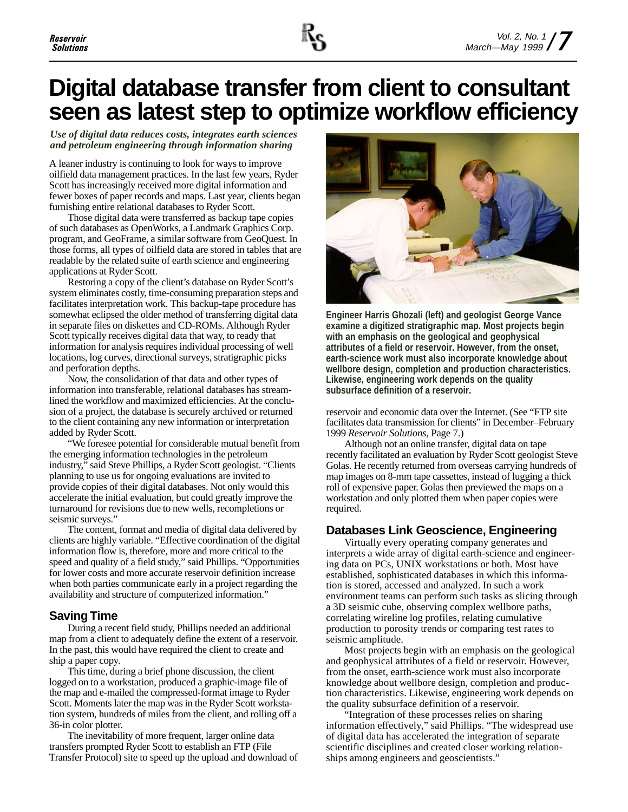# **Digital database transfer from client to consultant seen as latest step to optimize workflow efficiency**

*Use of digital data reduces costs, integrates earth sciences and petroleum engineering through information sharing*

A leaner industry is continuing to look for ways to improve oilfield data management practices. In the last few years, Ryder Scott has increasingly received more digital information and fewer boxes of paper records and maps. Last year, clients began furnishing entire relational databases to Ryder Scott.

Those digital data were transferred as backup tape copies of such databases as OpenWorks, a Landmark Graphics Corp. program, and GeoFrame, a similar software from GeoQuest. In those forms, all types of oilfield data are stored in tables that are readable by the related suite of earth science and engineering applications at Ryder Scott.

Restoring a copy of the client's database on Ryder Scott's system eliminates costly, time-consuming preparation steps and facilitates interpretation work. This backup-tape procedure has somewhat eclipsed the older method of transferring digital data in separate files on diskettes and CD-ROMs. Although Ryder Scott typically receives digital data that way, to ready that information for analysis requires individual processing of well locations, log curves, directional surveys, stratigraphic picks and perforation depths.

Now, the consolidation of that data and other types of information into transferable, relational databases has streamlined the workflow and maximized efficiencies. At the conclusion of a project, the database is securely archived or returned to the client containing any new information or interpretation added by Ryder Scott.

"We foresee potential for considerable mutual benefit from the emerging information technologies in the petroleum industry," said Steve Phillips, a Ryder Scott geologist. "Clients planning to use us for ongoing evaluations are invited to provide copies of their digital databases. Not only would this accelerate the initial evaluation, but could greatly improve the turnaround for revisions due to new wells, recompletions or seismic surveys."

The content, format and media of digital data delivered by clients are highly variable. "Effective coordination of the digital information flow is, therefore, more and more critical to the speed and quality of a field study," said Phillips. "Opportunities for lower costs and more accurate reservoir definition increase when both parties communicate early in a project regarding the availability and structure of computerized information."

### **Saving Time**

During a recent field study, Phillips needed an additional map from a client to adequately define the extent of a reservoir. In the past, this would have required the client to create and ship a paper copy.

This time, during a brief phone discussion, the client logged on to a workstation, produced a graphic-image file of the map and e-mailed the compressed-format image to Ryder Scott. Moments later the map was in the Ryder Scott workstation system, hundreds of miles from the client, and rolling off a 36-in color plotter.

The inevitability of more frequent, larger online data transfers prompted Ryder Scott to establish an FTP (File Transfer Protocol) site to speed up the upload and download of



**Engineer Harris Ghozali (left) and geologist George Vance examine a digitized stratigraphic map. Most projects begin with an emphasis on the geological and geophysical attributes of a field or reservoir. However, from the onset, earth-science work must also incorporate knowledge about wellbore design, completion and production characteristics. Likewise, engineering work depends on the quality subsurface definition of a reservoir.**

reservoir and economic data over the Internet. (See "FTP site facilitates data transmission for clients" in December–February 1999 *Reservoir Solutions*, Page 7.)

Although not an online transfer, digital data on tape recently facilitated an evaluation by Ryder Scott geologist Steve Golas. He recently returned from overseas carrying hundreds of map images on 8-mm tape cassettes, instead of lugging a thick roll of expensive paper. Golas then previewed the maps on a workstation and only plotted them when paper copies were required.

### **Databases Link Geoscience, Engineering**

Virtually every operating company generates and interprets a wide array of digital earth-science and engineering data on PCs, UNIX workstations or both. Most have established, sophisticated databases in which this information is stored, accessed and analyzed. In such a work environment teams can perform such tasks as slicing through a 3D seismic cube, observing complex wellbore paths, correlating wireline log profiles, relating cumulative production to porosity trends or comparing test rates to seismic amplitude.

Most projects begin with an emphasis on the geological and geophysical attributes of a field or reservoir. However, from the onset, earth-science work must also incorporate knowledge about wellbore design, completion and production characteristics. Likewise, engineering work depends on the quality subsurface definition of a reservoir.

"Integration of these processes relies on sharing information effectively," said Phillips. "The widespread use of digital data has accelerated the integration of separate scientific disciplines and created closer working relationships among engineers and geoscientists."